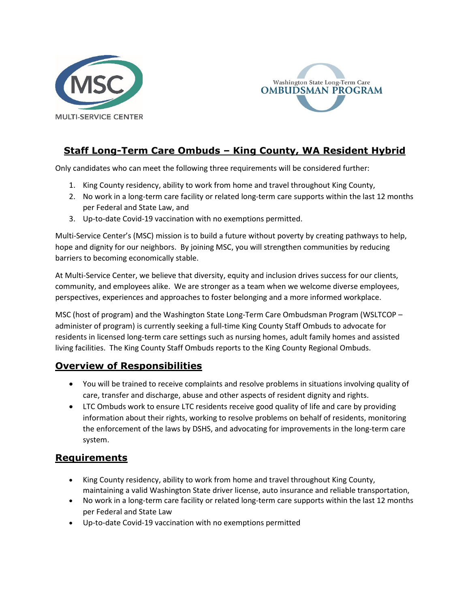



# **Staff Long-Term Care Ombuds – King County, WA Resident Hybrid**

Only candidates who can meet the following three requirements will be considered further:

- 1. King County residency, ability to work from home and travel throughout King County,
- 2. No work in a long-term care facility or related long-term care supports within the last 12 months per Federal and State Law, and
- 3. Up-to-date Covid-19 vaccination with no exemptions permitted.

Multi-Service Center's (MSC) mission is to build a future without poverty by creating pathways to help, hope and dignity for our neighbors. By joining MSC, you will strengthen communities by reducing barriers to becoming economically stable.

At Multi-Service Center, we believe that diversity, equity and inclusion drives success for our clients, community, and employees alike. We are stronger as a team when we welcome diverse employees, perspectives, experiences and approaches to foster belonging and a more informed workplace.

MSC (host of program) and the Washington State Long-Term Care Ombudsman Program (WSLTCOP – administer of program) is currently seeking a full-time King County Staff Ombuds to advocate for residents in licensed long-term care settings such as nursing homes, adult family homes and assisted living facilities. The King County Staff Ombuds reports to the King County Regional Ombuds.

### **Overview of Responsibilities**

- You will be trained to receive complaints and resolve problems in situations involving quality of care, transfer and discharge, abuse and other aspects of resident dignity and rights.
- LTC Ombuds work to ensure LTC residents receive good quality of life and care by providing information about their rights, working to resolve problems on behalf of residents, monitoring the enforcement of the laws by DSHS, and advocating for improvements in the long-term care system.

### **Requirements**

- King County residency, ability to work from home and travel throughout King County, maintaining a valid Washington State driver license, auto insurance and reliable transportation,
- No work in a long-term care facility or related long-term care supports within the last 12 months per Federal and State Law
- Up-to-date Covid-19 vaccination with no exemptions permitted